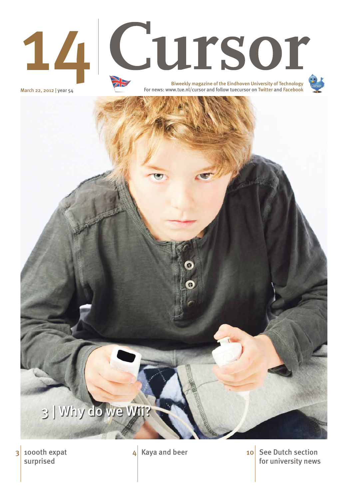

# 14 Cursor

March 22, 2012 | year 54

1000th expat surprised

 $3 \mid 100$  oth expat  $4 \mid$  Kaya and beer  $10 \mid$  See Dutch section for university news 10



Biweekly magazine of the Eindhoven University of Technology For news: www.tue.nl/cursor and follow tuecursor on Twitter and Facebook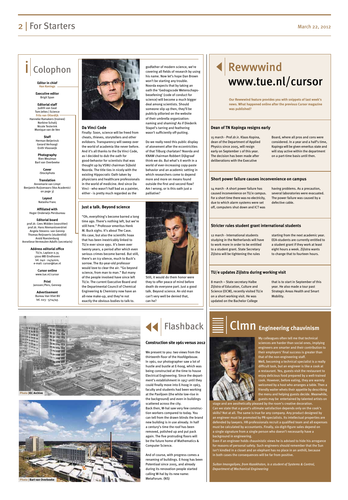#### **Da Vinci Code**

Finally: Soon, science will be freed from cheats, thieves, storytellers and other evildoers. Transparency will sweep over the world of academia like never before. And it's all thanks to the Da Vinci Code, as I decided to dub the oath for good-behavior for scientists that was thought up by VSNU chairman Sijbold Noorda. The title ties in nicely with the existing Hippocratic Oath taken by physicians and healthcare professionals in the world of medicine. And since Da Vinci - who wasn't half bad as a painter, either - is pretty much regarded as the

godfather of modern science, we're covering all fields of research by using his name. Now let's hope Dan Brown won't be starting any trouble. Noorda expects that by taking an oath the 'Gedragscode Wetenschapsbeoefening' (code of conduct for science) will become a much bigger deal among scientists. Should someone slip up then, they'll be publicly pilloried on the website of their umbrella organization: naming and shaming! As if Diederik Stapel's tarring and feathering wasn't sufficiently off-putting.

Do we really need this public display of atonement after the eccentricities of that Tilburg charlatan? Noorda and KNAW chairman Robbert Dijkgraaf think we do. But what's it worth in a world of ever-increasing copy-paste behavior and an academic setting in which researchers come to depend more and more on means found outside the first and second flow? Am I wrong, or is this oath just a palliative?



## Rewwwind www.tue.nl/cursor

### **2** | For Starters March 22, 2012

## Colophon

**Editor in chief Han Konings**

**Executive editor**  Brigit Span

**Editorial staff** Judith van Gaal Tom Jeltes | Science **Frits van Otterdijk** Hanneke Ramakers (trainee) Norbine Schalij Nicole Testerink Monique van de Ven

> **Staff**  Herman Beijerinck Gerard Verhoogt Enith Vlooswijk

**Photography**  Rien Meulman Bart van Overbeeke

> **Cover** iStockphoto

**Translation** Annemarie van Limpt Benjamin Ruijsenaars (Vox Academici on page 3)

> **Layout** Natasha Franc

**Affiliated with**  Hoger Onderwijs Persbureau

**Editorial board** prof.dr. Cees Midden (voorzitter) prof.dr. Hans Niemantsverdriet Angela Stevens- van Gennip Thomas Reijnaerts (studentlid) Arold Roestenburg Anneliese Vermeulen-Adolfs (secretaris)

> **Address editorial office** TU/e, Laplace 0.35 5600 MB Eindhoven tel. 040 - 2474020, e-mail: cursor@tue.nl

> > **Cursor online** www.tue.nl/cursor

**Print** Janssen/Pers, Gennep

**Advertisement** Bureau Van Vliet BV tel. 023 - 5714745



My colleagues often tell me that technical sciences are harder than social ones, implying engineers are smarter and their contribution to their employers' final success is greater than that of the non-engineering staff. Well, becoming a technical specialist is a really difficult task, but an engineer is like a cook at a restaurant. Yes, guests visit the restaurant to enjoy delicious food prepared by a well-trained cook. However, before eating, they are warmly welcomed by a host who arranges a table. Then a friendly waiter whets their appetite by describing the menu and helping guests decide. Meanwhile, guests may be entertained by talented artists on stage and are aesthetically pleased by the room's creative decoration. Can we state that a guest's ultimate satisfaction depends only on the cook's skills? Not at all. The same is true for any company. Any product designed by an engineer must be promoted by PR-specialists. Its intellectual properties are defended by lawyers. HR-professionals recruit a qualified team and all expenses must be calculated by accountants. Finally, six-digit-figure sales depend on a single signature from a single person who doesn't necessarily have a background in engineering.

15 march - Prof.dr.ir. Klaas Kopina, dean of the Department of Applied Physics since 2005, will resign early on September 1 of this year. The decision has been made after deliberations with the Executive

Board, where all pros and cons were considered. In a year and a half's time, Kopinga will be given emeritus state and will stay active within the department on a part-time basis until then.

14 march - A short power failure has caused inconvenience on TU/e campus. For a short time there was no electricity, due to which alarm systems were set off, computers shut down and ICT was

having problems. As a precaution, several laboratories were evacuated. The power failure was caused by a defective cable.

12 march - International students studying in the Netherlands will have to work more in order to be entitled to a student grant. State Secretary Zijlstra will be tightening the rules

starting from the next academic year. EEA-students are currently entitled to a student grant if they work at least eight hours a week. Zijlstra wants to change that to fourteen hours.

8 march – State secretary Halbe Zijlstra of Education, Culture and Science (OCW), recently visited TU/e on a short working visit. He was updated on the Bachelor College

that is to start in September of this year. He also made a tour past Strategic Areas Health and Smart Mobility.

#### **Dean of TN Kopinga resigns early**

#### **Short power failure causes inconvenience on campus**

#### **Stricter rules student grant international students**

#### **TU/e updates Zijlstra during working visit**

**Our Rewwwind feature provides you with snippets of last week's news. What happened online after the previous Cursor magazine was published?**

#### **Just a talk. Beyond science**

"Oh, everything's become barred a long time ago. There's nothing left, but we're still here." Professor emeritus Henk M. Buck sighs. It's about The Case. His case, but also the scientific hoax that has been inextricably linked to TU/e ever since 1991. It's been over twenty years, a period after which even serious crimes become barred. But still, there's an icy silence, much to Buck's sorrow. The 82-year-old professor would love to clear the air. "Go beyond science, from man to man." But many of the people involved have since left TU/e. The current Executive Board and the Departmental Council of Chemical Engineering & Chemistry now have an all-new make-up, and they're not exactly the obvious bodies to talk to.

Still, it would do them honor were they to offer peace of mind before death do everyone part. Just a good talk. Beyond science. An old man can't very well be denied that, can he?

> Even if an engineer holds chauvinistic views he is advised to hide his arrogance for reasons of personal safety. Such engineers should remember that the Sun isn't kindled in a closet and an elephant has no place in an anthill, because in both cases the consequences will be far from positive.

*Sultan Imangaliyev, from Kazakhstan, is a student of Systems & Control, Department of Mechanical Engineering*

## Clmn **Engineering chauvinism**

We present to you: two views from the thirteenth floor of the Hoofdgebouw. In 1961, our photographer saw a lot of hustle and bustle at E-hoog, which was being constructed at the time to house Electrical Engineering. Since the department's establishment in 1957 until they could finally move into E-hoog in 1963, faculty and students had been working at the Paviljoen (the white low-rise in the background) and even in buildings scattered across the city. Back then, W-hal saw very few construction workers compared to today. You can tell from the drawn blinds the brand new building is in use already. In half a century's time the roof has been removed, polished up and put pack again. The five protruding floors will be the future home of Mathematics & Computer Science.

And of course, with progress comes a renaming of buildings. E-hoog has been Potentiaal since 2005, and already during its renovation people started calling W-hal by its new name: MetaForum. (NS)



#### **Construction site 1961 versus 2012**



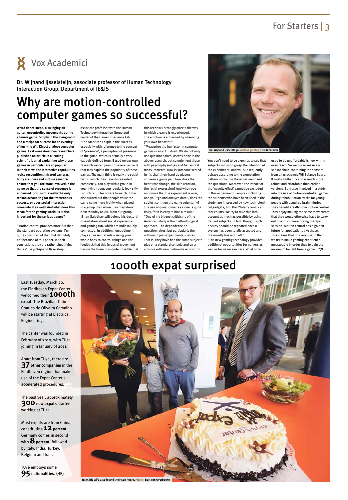## For Starters | 3

## 1000th expat surprised



Last Tuesday, March 20, the Eindhoven Expat Center welcomed their **1000th expat**. The Brazilian Tulio Charles de Oliveira Carvalho will be starting at Electrical Engineering.

The center was founded in February of 2010, with TU/e joining in January of 2011.

Apart from TU/e, there are **37 other companies** in the Eindhoven region that make use of the Expat Center's

accelerated procedures.

The past year, approximately **300 new expats** started working at TU/e.

Most expats are from China, constituting **12** percent. Germany comes in second with **8** percent, followed by Italy, India, Turkey, Belgium and Iran.

TU/e employs some **95 nationalities**. (HR)

## Why are motion-controlled computer games so successful?

**Weird dance steps, a swinging air guitar, uncontrolled movements during a tennis game. Simply in the living-room and a recipe for success for an evening of fun - the Wii, Kinect or Move computer games. Last week American researchers published an article in a leading scientific journal explaining why these games in particular are so popular. In their view, the interactive capabilities -voice recognition, infrared cameras , body scanners and motion sensorsensure that you are more involved in the game so that the sense of presence is enhanced. Still, is this really the only reason accounting for the tremendous success, or does social interaction come into it as well? And what does this mean for the gaming world, is it also important for the serious games?**

"Motion control provides more fun than the standard operating systems, I'm quite convinced of that, but definitely not because of this paper. In their conclusions they are rather simplifying things", says Wijnand IJsselsteijn,

associate professor with the Human Technology Interaction Group and leader of the Game Experience Lab. "The Americans explain the success especially with reference to the concept of 'presence', a perception of presence in the game- which is actually a very vaguely defined term. Based on our own research we can point to several aspects that may explain the popularity of these games. The main thing is really the social factor, which they have disregarded completely. You play with a group in your living-room, you regularly look silly - which is fun for others to watch. It has also turned out that people value the same game more highly when played in a group than when they play alone. Next Monday an AIO from our group -Brian Gajadhar- will defend his doctoral dissertation about social experience and gaming fun, which are indissolubly connected. In addition, 'embodiment' plays an essential role – using your whole body to control things and the feedback that this (muscle) movement has on the brain. It is quite possible that this feedback strongly affects the way in which a game is experienced. The emotion is enhanced by observing your own behavior."

"Measuring the fun factor in computer games is an art in itself. We do not only use questionnaires, as was done in the above research, but complement these with psychophysiology and behavioral measurements. How is someone seated in his chair, how hard do players squeeze a game pad, how does the heart rate change, the skin reaction, the facial expression? And when you announce that the experiment is over, and you "go and analyze data", does the subject continue the game voluntarily? The use of questionnaires alone is quite risky, for it is easy to bias a result." "One of my biggest criticisms of the American study is the methodological approach. The dependence on questionnaires, but particularly the within-subject-experimental-design. That is, they have had the same subjects play on a standard console and on a console with new motion-based control.



You don't need to be a genius to see that subjects will soon grasp the intention of the experiment, and will subsequently behave according to the expectation pattern implicit in the experiment and the questions. Moreover, the impact of the 'novelty effect' cannot be excluded in this experiment. People - including the students who have been used in the study- are impressed by new technological gadgets, find this "totally cool" - and that counts. We try to take this into account as much as possible by using trained subjects. In fact, though, such a study should be repeated once a system has been totally accepted and the novelty has worn off."

"The new gaming technology provides additional opportunities for gamers as well as for us researchers. What once

used to be unaffordable is now within easy reach. So we ourselves use a sensor chair, containing the sensors from an unscrewed Wii Balance Board. It works brilliantly and is much more robust and affordable than earlier versions. I am also involved in a study into the use of motion-controlled games during rehabilitation tracks for young people with acquired brain injuries. They benefit greatly from motion control. They enjoy making the same movements that they would otherwise have to carry out in a much more boring therapy session. Motion control has a golden future for applications like these. This means that it is very useful that we try to make gaming experience measurable in order thus to gain the maximum benefit from a game …"(NT)



Dr. Wijnand IJsselsteijn, associate professor of Human Technology Interaction Group, Department of IE&IS

**Dr. Wijnand IJsselsteijn. Archive photo | Rien Meulman**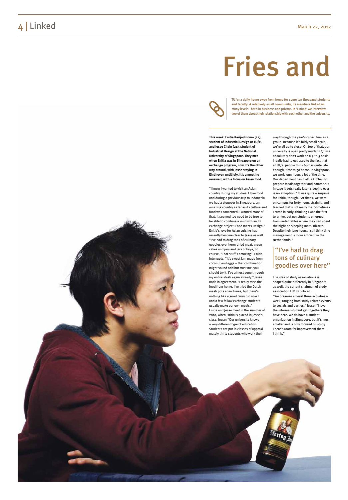**This week: Enitia Karijodinomo (22), student of Industrial Design at TU/e, and Jesse Chain (24), student of Industrial Design at the National University of Singapore. They met when Enitia was in Singapore on an exchange program; now it's the other way around, with Jesse staying in Eindhoven until July. It's a meeting renewed, with a focus on Asian food.**

"I knew I wanted to visit an Asian country during my studies. I love food and during a previous trip to Indonesia we had a stopover in Singapore, an amazing country as far as its culture and food was concerned. I wanted more of that. It seemed too good to be true to be able to combine a visit with an ID exchange project: Food meets Design." Enitia's love for Asian cuisine has recently become clear to Jesse as well. "I've had to drag tons of culinary goodies over here: dried meat, green cakes and jars and jars of kaya, of course. "That stuff's amazing", Enitia interrupts. "It's sweet jam made from coconut and eggs – that combination might sound odd but trust me, you should try it. I've almost gone through my entire stash again already." Jesse nods in agreement. "I really miss the food from home. I've tried the Dutch mash pots a few times, but there's nothing like a good curry. So now I and a few fellow exchange students usually make our own meals." Enitia and Jesse meet in the summer of 2010, when Enitia is placed in Jesse's class. Jesse: "Our university knows a very different type of education. Students are put in classes of approxi mately thirty students who work their

way through the year's curriculum as a group. Because it's fairly small-scale, we're all quite close. On top of that, our university is open pretty much 24/7 - we absolutely don't work on a 9-to-5 basis. I really had to get used to the fact that at TU/e, people think 6pm is quite late enough, time to go home. In Singapore, we work long hours a lot of the time. Our department has it all: a kitchen to prepare meals together and hammocks in case it gets really late - sleeping over is no exception." It was quite a surprise for Enitia, though. "At times, we were on campus for forty hours straight, and I learned that's not really me. Sometimes I came in early, thinking I was the first to arrive, but no: students emerged from under tables where they had spent the night on sleeping mats. Bizarre. Despite their long hours, I still think time management is more efficient in the Netherlands."

The idea of study associations is shaped quite differently in Singapore as well, the current chairman of study association LUCID noticed. "We organize at least three activities a week, ranging from study-related events to socials and parties." Jesse: "I love the informal student get-togethers they have here. We do have a student organization in Singapore, but it's much smaller and is only focused on study. There's room for improvement there, I think."



#### "I've had to drag tons of culinary goodies over here"

**TU/e: a daily home away from home for some ten thousand students and faculty. A relatively small community, its members linked on many levels - both in business and private. In 'Linked' we interview two of them about their relationship with each other and the university.**

## 4 Linked March 22, 2012

## Fries and